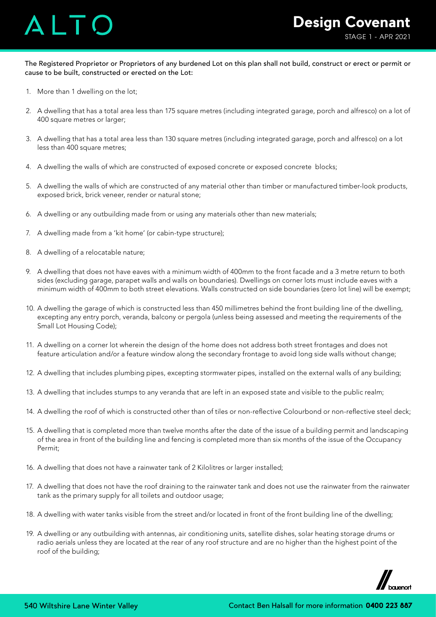## ALT (

The Registered Proprietor or Proprietors of any burdened Lot on this plan shall not build, construct or erect or permit or cause to be built, constructed or erected on the Lot:

- 1. More than 1 dwelling on the lot;
- 2. A dwelling that has a total area less than 175 square metres (including integrated garage, porch and alfresco) on a lot of 400 square metres or larger;
- 3. A dwelling that has a total area less than 130 square metres (including integrated garage, porch and alfresco) on a lot less than 400 square metres;
- 4. A dwelling the walls of which are constructed of exposed concrete or exposed concrete blocks;
- 5. A dwelling the walls of which are constructed of any material other than timber or manufactured timber-look products, exposed brick, brick veneer, render or natural stone;
- 6. A dwelling or any outbuilding made from or using any materials other than new materials;
- 7. A dwelling made from a 'kit home' (or cabin-type structure);
- 8. A dwelling of a relocatable nature;
- 9. A dwelling that does not have eaves with a minimum width of 400mm to the front facade and a 3 metre return to both sides (excluding garage, parapet walls and walls on boundaries). Dwellings on corner lots must include eaves with a minimum width of 400mm to both street elevations. Walls constructed on side boundaries (zero lot line) will be exempt;
- 10. A dwelling the garage of which is constructed less than 450 millimetres behind the front building line of the dwelling, excepting any entry porch, veranda, balcony or pergola (unless being assessed and meeting the requirements of the Small Lot Housing Code);
- 11. A dwelling on a corner lot wherein the design of the home does not address both street frontages and does not feature articulation and/or a feature window along the secondary frontage to avoid long side walls without change;
- 12. A dwelling that includes plumbing pipes, excepting stormwater pipes, installed on the external walls of any building;
- 13. A dwelling that includes stumps to any veranda that are left in an exposed state and visible to the public realm;
- 14. A dwelling the roof of which is constructed other than of tiles or non-reflective Colourbond or non-reflective steel deck;
- 15. A dwelling that is completed more than twelve months after the date of the issue of a building permit and landscaping of the area in front of the building line and fencing is completed more than six months of the issue of the Occupancy Permit;
- 16. A dwelling that does not have a rainwater tank of 2 Kilolitres or larger installed;
- 17. A dwelling that does not have the roof draining to the rainwater tank and does not use the rainwater from the rainwater tank as the primary supply for all toilets and outdoor usage;
- 18. A dwelling with water tanks visible from the street and/or located in front of the front building line of the dwelling;
- 19. A dwelling or any outbuilding with antennas, air conditioning units, satellite dishes, solar heating storage drums or radio aerials unless they are located at the rear of any roof structure and are no higher than the highest point of the roof of the building;